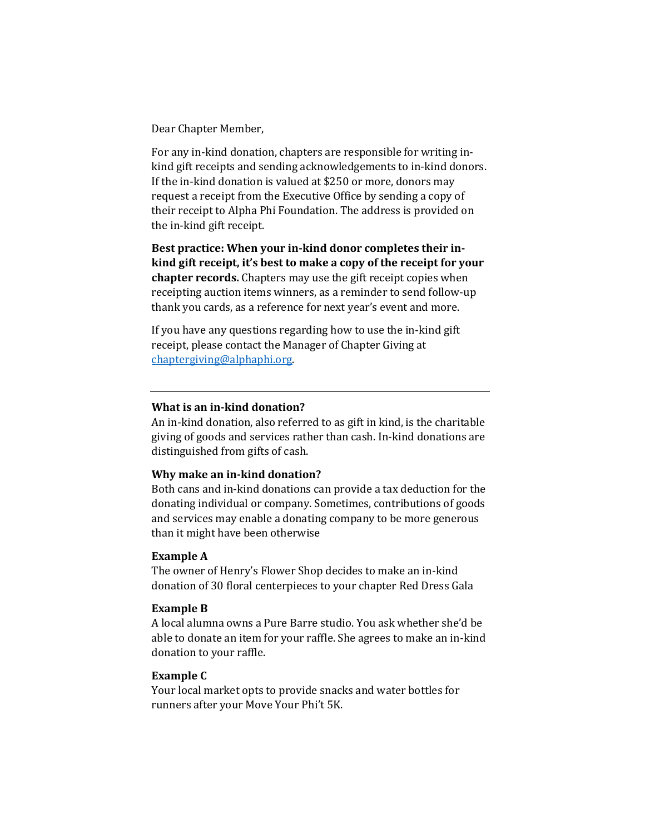Dear Chapter Member,

For any in-kind donation, chapters are responsible for writing inkind gift receipts and sending acknowledgements to in-kind donors. If the in-kind donation is valued at \$250 or more, donors may request a receipt from the Executive Office by sending a copy of their receipt to Alpha Phi Foundation. The address is provided on the in-kind gift receipt.

**Best practice: When your in-kind donor completes their inkind gift receipt, it's best to make a copy of the receipt for your chapter records.** Chapters may use the gift receipt copies when receipting auction items winners, as a reminder to send follow-up thank you cards, as a reference for next year's event and more.

If you have any questions regarding how to use the in-kind gift receipt, please contact the Manager of Chapter Giving at [chaptergiving@alphaphi.org.](mailto:chaptergiving@alphaphi.org) 

# **What is an in-kind donation?**

An in-kind donation, also referred to as gift in kind, is the charitable giving of goods and services rather than cash. In-kind donations are distinguished from gifts of cash.

## **Why make an in-kind donation?**

Both cans and in-kind donations can provide a tax deduction for the donating individual or company. Sometimes, contributions of goods and services may enable a donating company to be more generous than it might have been otherwise

## **Example A**

The owner of Henry's Flower Shop decides to make an in-kind donation of 30 floral centerpieces to your chapter Red Dress Gala

## **Example B**

A local alumna owns a Pure Barre studio. You ask whether she'd be able to donate an item for your raffle. She agrees to make an in-kind donation to your raffle.

#### **Example C**

Your local market opts to provide snacks and water bottles for runners after your Move Your Phi't 5K.